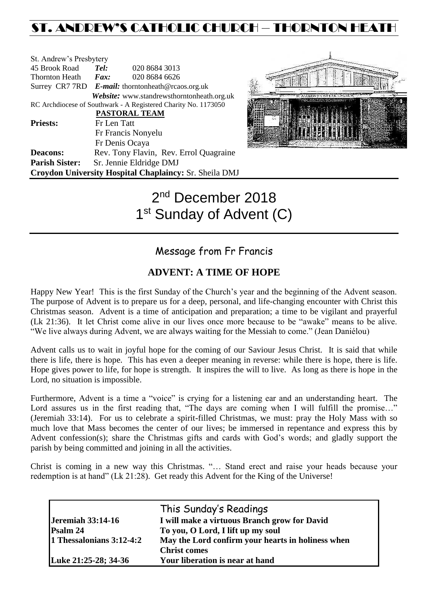# ST. ANDREW'S CATHOLIC CHURCH – THORNTON HEATH

| St. Andrew's Presbytery                                |                                                   |                                                                |  |  |
|--------------------------------------------------------|---------------------------------------------------|----------------------------------------------------------------|--|--|
| 45 Brook Road                                          | Tel:                                              | 020 8684 3013                                                  |  |  |
| <b>Thornton Heath</b>                                  | Fax:                                              | 020 8684 6626                                                  |  |  |
|                                                        | Surrey CR7 7RD E-mail: thorntonheath@rcaos.org.uk |                                                                |  |  |
|                                                        |                                                   | Website: www.standrewsthorntonheath.org.uk                     |  |  |
|                                                        |                                                   | RC Archdiocese of Southwark - A Registered Charity No. 1173050 |  |  |
|                                                        |                                                   | PASTORAL TEAM                                                  |  |  |
| <b>Priests:</b>                                        | Fr Len Tatt                                       |                                                                |  |  |
|                                                        |                                                   | Fr Francis Nonyelu                                             |  |  |
|                                                        |                                                   | Fr Denis Ocaya                                                 |  |  |
| <b>Deacons:</b>                                        |                                                   | Rev. Tony Flavin, Rev. Errol Quagraine                         |  |  |
| <b>Parish Sister:</b>                                  |                                                   | Sr. Jennie Eldridge DMJ                                        |  |  |
| Croydon University Hospital Chaplaincy: Sr. Sheila DMJ |                                                   |                                                                |  |  |



# 2<sup>nd</sup> December 2018 1<sup>st</sup> Sunday of Advent (C)

# Message from Fr Francis

# **ADVENT: A TIME OF HOPE**

Happy New Year! This is the first Sunday of the Church's year and the beginning of the Advent season. The purpose of Advent is to prepare us for a deep, personal, and life-changing encounter with Christ this Christmas season. Advent is a time of anticipation and preparation; a time to be vigilant and prayerful (Lk 21:36). It let Christ come alive in our lives once more because to be "awake" means to be alive. "We live always during Advent, we are always waiting for the Messiah to come." (Jean Daniélou)

Advent calls us to wait in joyful hope for the coming of our Saviour Jesus Christ. It is said that while there is life, there is hope. This has even a deeper meaning in reverse: while there is hope, there is life. Hope gives power to life, for hope is strength. It inspires the will to live. As long as there is hope in the Lord, no situation is impossible.

Furthermore, Advent is a time a "voice" is crying for a listening ear and an understanding heart. The Lord assures us in the first reading that, "The days are coming when I will fulfill the promise..." (Jeremiah 33:14). For us to celebrate a spirit-filled Christmas, we must: pray the Holy Mass with so much love that Mass becomes the center of our lives; be immersed in repentance and express this by Advent confession(s); share the Christmas gifts and cards with God's words; and gladly support the parish by being committed and joining in all the activities.

Christ is coming in a new way this Christmas. "… Stand erect and raise your heads because your redemption is at hand" (Lk 21:28). Get ready this Advent for the King of the Universe!

| <b>Jeremiah 33:14-16</b>   | This Sunday's Readings<br>I will make a virtuous Branch grow for David |  |
|----------------------------|------------------------------------------------------------------------|--|
| Psalm 24                   | To you, O Lord, I lift up my soul                                      |  |
| 1 Thessalonians $3:12-4:2$ | May the Lord confirm your hearts in holiness when                      |  |
|                            | <b>Christ comes</b>                                                    |  |
| Luke 21:25-28; 34-36       | Your liberation is near at hand                                        |  |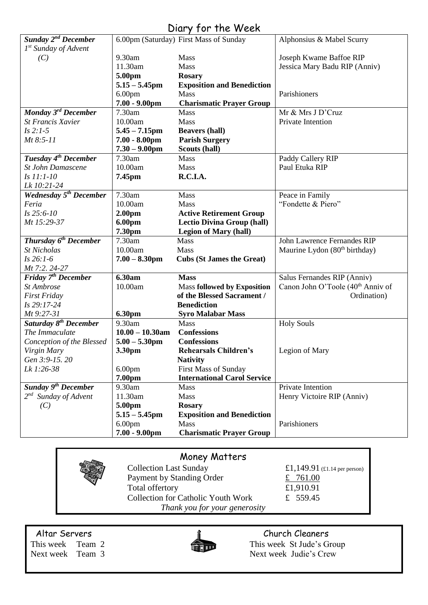# Diary for the Week

| Sunday 2 <sup>nd</sup> December          |                    | 6.00pm (Saturday) First Mass of Sunday | Alphonsius & Mabel Scurry                     |
|------------------------------------------|--------------------|----------------------------------------|-----------------------------------------------|
| $1^{st}$ Sunday of Advent                |                    |                                        |                                               |
| (C)                                      | 9.30am             | Mass                                   | Joseph Kwame Baffoe RIP                       |
|                                          | 11.30am            | Mass                                   | Jessica Mary Badu RIP (Anniv)                 |
|                                          | 5.00pm             | <b>Rosary</b>                          |                                               |
|                                          | $5.15 - 5.45$ pm   | <b>Exposition and Benediction</b>      |                                               |
|                                          | 6.00 <sub>pm</sub> | Mass                                   | Parishioners                                  |
|                                          | $7.00 - 9.00$ pm   | <b>Charismatic Prayer Group</b>        |                                               |
| Monday 3rd December                      | 7.30am             | <b>Mass</b>                            | Mr & Mrs J D'Cruz                             |
| <b>St Francis Xavier</b>                 | 10.00am            | Mass                                   | Private Intention                             |
| $Is 2:1-5$                               | $5.45 - 7.15$ pm   | <b>Beavers (hall)</b>                  |                                               |
| Mt 8:5-11                                | $7.00 - 8.00$ pm   | <b>Parish Surgery</b>                  |                                               |
|                                          | $7.30 - 9.00$ pm   | Scouts (hall)                          |                                               |
| Tuesday 4 <sup>th</sup> December         | 7.30am             | Mass                                   | Paddy Callery RIP                             |
| <b>St John Damascene</b>                 | 10.00am            | <b>Mass</b>                            | Paul Etuka RIP                                |
| Is 11:1-10                               | 7.45pm             | R.C.I.A.                               |                                               |
| Lk 10:21-24                              |                    |                                        |                                               |
| <b>Wednesday 5<sup>th</sup> December</b> | 7.30am             | Mass                                   | Peace in Family                               |
| Feria                                    | 10.00am            | <b>Mass</b>                            | "Fondette & Piero"                            |
| $Is 25:6-10$                             | 2.00 <sub>pm</sub> | <b>Active Retirement Group</b>         |                                               |
| Mt 15:29-37                              | 6.00pm             | <b>Lectio Divina Group (hall)</b>      |                                               |
|                                          | 7.30pm             | <b>Legion of Mary (hall)</b>           |                                               |
| <b>Thursday 6<sup>th</sup> December</b>  | 7.30am             | Mass                                   | John Lawrence Fernandes RIP                   |
| <b>St Nicholas</b>                       | 10.00am            | <b>Mass</b>                            | Maurine Lydon (80 <sup>th</sup> birthday)     |
| $Is 26:1-6$                              | $7.00 - 8.30$ pm   | <b>Cubs (St James the Great)</b>       |                                               |
| Mt 7:2. 24-27                            |                    |                                        |                                               |
| Friday 7 <sup>th</sup> December          | 6.30am             | <b>Mass</b>                            | Salus Fernandes RIP (Anniv)                   |
| St Ambrose                               | 10.00am            | <b>Mass followed by Exposition</b>     | Canon John O'Toole (40 <sup>th</sup> Anniv of |
| <b>First Friday</b>                      |                    | of the Blessed Sacrament /             | Ordination)                                   |
| Is 29:17-24                              |                    | <b>Benediction</b>                     |                                               |
| Mt 9:27-31                               | 6.30pm             | <b>Syro Malabar Mass</b>               |                                               |
| Saturday 8 <sup>th</sup> December        | 9.30am             | Mass                                   | <b>Holy Souls</b>                             |
| The Immaculate                           | $10.00 - 10.30$ am | <b>Confessions</b>                     |                                               |
| Conception of the Blessed                | $5.00 - 5.30$ pm   | <b>Confessions</b>                     |                                               |
| Virgin Mary                              | 3.30pm             | <b>Rehearsals Children's</b>           | Legion of Mary                                |
| Gen 3:9-15.20                            |                    | <b>Nativity</b>                        |                                               |
| Lk 1:26-38                               | 6.00 <sub>pm</sub> | <b>First Mass of Sunday</b>            |                                               |
|                                          | 7.00pm             | <b>International Carol Service</b>     |                                               |
| Sunday 9 <sup>th</sup> December          | 9.30am             | <b>Mass</b>                            | Private Intention                             |
| $2^{nd}$ Sunday of Advent                | 11.30am            | Mass                                   | Henry Victoire RIP (Anniv)                    |
| (C)                                      | 5.00pm             | <b>Rosary</b>                          |                                               |
|                                          | $5.15 - 5.45$ pm   | <b>Exposition and Benediction</b>      |                                               |
|                                          | 6.00 <sub>pm</sub> | <b>Mass</b>                            | Parishioners                                  |
|                                          | $7.00 - 9.00$ pm   | <b>Charismatic Prayer Group</b>        |                                               |

# Money Matters

Collection Last Sunday  $£1,149.91$  (£1.14 per person) Payment by Standing Order  $\frac{2}{x}$  761.00 Total offertory  $£1,910.91$ Collection for Catholic Youth Work £ 559.45 *Thank you for your generosity*



Altar Servers and the church Cleaners and the Church Cleaners This week Team 2 This week St Jude's Group Next week Team 3 Next week Judie's Crew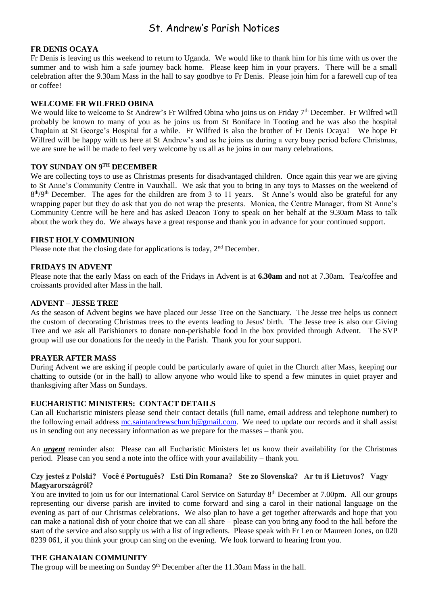# St. Andrew's Parish Notices

#### **FR DENIS OCAYA**

Fr Denis is leaving us this weekend to return to Uganda. We would like to thank him for his time with us over the summer and to wish him a safe journey back home. Please keep him in your prayers. There will be a small celebration after the 9.30am Mass in the hall to say goodbye to Fr Denis. Please join him for a farewell cup of tea or coffee!

#### **WELCOME FR WILFRED OBINA**

We would like to welcome to St Andrew's Fr Wilfred Obina who joins us on Friday  $7<sup>th</sup>$  December. Fr Wilfred will probably be known to many of you as he joins us from St Boniface in Tooting and he was also the hospital Chaplain at St George's Hospital for a while. Fr Wilfred is also the brother of Fr Denis Ocaya! We hope Fr Wilfred will be happy with us here at St Andrew's and as he joins us during a very busy period before Christmas, we are sure he will be made to feel very welcome by us all as he joins in our many celebrations.

### **TOY SUNDAY ON 9TH DECEMBER**

We are collecting toys to use as Christmas presents for disadvantaged children. Once again this year we are giving to St Anne's Community Centre in Vauxhall. We ask that you to bring in any toys to Masses on the weekend of 8<sup>th</sup>/9<sup>th</sup> December. The ages for the children are from 3 to 11 years. St Anne's would also be grateful for any wrapping paper but they do ask that you do not wrap the presents. Monica, the Centre Manager, from St Anne's Community Centre will be here and has asked Deacon Tony to speak on her behalf at the 9.30am Mass to talk about the work they do. We always have a great response and thank you in advance for your continued support.

#### **FIRST HOLY COMMUNION**

Please note that the closing date for applications is today, 2<sup>nd</sup> December.

#### **FRIDAYS IN ADVENT**

Please note that the early Mass on each of the Fridays in Advent is at **6.30am** and not at 7.30am. Tea/coffee and croissants provided after Mass in the hall.

#### **ADVENT – JESSE TREE**

As the season of Advent begins we have placed our Jesse Tree on the Sanctuary. The Jesse tree helps us connect the custom of decorating Christmas trees to the events leading to Jesus' birth. The Jesse tree is also our Giving Tree and we ask all Parishioners to donate non-perishable food in the box provided through Advent. The SVP group will use our donations for the needy in the Parish. Thank you for your support.

#### **PRAYER AFTER MASS**

During Advent we are asking if people could be particularly aware of quiet in the Church after Mass, keeping our chatting to outside (or in the hall) to allow anyone who would like to spend a few minutes in quiet prayer and thanksgiving after Mass on Sundays.

#### **EUCHARISTIC MINISTERS: CONTACT DETAILS**

Can all Eucharistic ministers please send their contact details (full name, email address and telephone number) to the following email address [mc.saintandrewschurch@gmail.com.](mailto:mc.saintandrewschurch@gmail.com) We need to update our records and it shall assist us in sending out any necessary information as we prepare for the masses – thank you.

An *urgent* reminder also: Please can all Eucharistic Ministers let us know their availability for the Christmas period. Please can you send a note into the office with your availability – thank you.

#### **Czy jesteś z Polski? Você é Português? Esti Din Romana? Ste zo Slovenska? Ar tu iš Lietuvos? Vagy Magyarországról?**

You are invited to join us for our International Carol Service on Saturday 8<sup>th</sup> December at 7.00pm. All our groups representing our diverse parish are invited to come forward and sing a carol in their national language on the evening as part of our Christmas celebrations. We also plan to have a get together afterwards and hope that you can make a national dish of your choice that we can all share – please can you bring any food to the hall before the start of the service and also supply us with a list of ingredients. Please speak with Fr Len or Maureen Jones, on 020 8239 061, if you think your group can sing on the evening. We look forward to hearing from you.

#### **THE GHANAIAN COMMUNITY**

The group will be meeting on Sunday  $9<sup>th</sup>$  December after the 11.30am Mass in the hall.